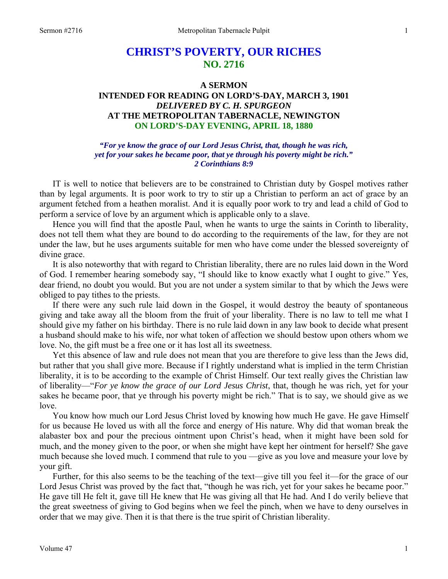# **CHRIST'S POVERTY, OUR RICHES NO. 2716**

# **A SERMON INTENDED FOR READING ON LORD'S-DAY, MARCH 3, 1901**  *DELIVERED BY C. H. SPURGEON*  **AT THE METROPOLITAN TABERNACLE, NEWINGTON**

# **ON LORD'S-DAY EVENING, APRIL 18, 1880**

### *"For ye know the grace of our Lord Jesus Christ, that, though he was rich, yet for your sakes he became poor, that ye through his poverty might be rich." 2 Corinthians 8:9*

IT is well to notice that believers are to be constrained to Christian duty by Gospel motives rather than by legal arguments. It is poor work to try to stir up a Christian to perform an act of grace by an argument fetched from a heathen moralist. And it is equally poor work to try and lead a child of God to perform a service of love by an argument which is applicable only to a slave.

 Hence you will find that the apostle Paul, when he wants to urge the saints in Corinth to liberality, does not tell them what they are bound to do according to the requirements of the law, for they are not under the law, but he uses arguments suitable for men who have come under the blessed sovereignty of divine grace.

 It is also noteworthy that with regard to Christian liberality, there are no rules laid down in the Word of God. I remember hearing somebody say, "I should like to know exactly what I ought to give." Yes, dear friend, no doubt you would. But you are not under a system similar to that by which the Jews were obliged to pay tithes to the priests.

 If there were any such rule laid down in the Gospel, it would destroy the beauty of spontaneous giving and take away all the bloom from the fruit of your liberality. There is no law to tell me what I should give my father on his birthday. There is no rule laid down in any law book to decide what present a husband should make to his wife, nor what token of affection we should bestow upon others whom we love. No, the gift must be a free one or it has lost all its sweetness.

 Yet this absence of law and rule does not mean that you are therefore to give less than the Jews did, but rather that you shall give more. Because if I rightly understand what is implied in the term Christian liberality, it is to be according to the example of Christ Himself. Our text really gives the Christian law of liberality—"*For ye know the grace of our Lord Jesus Christ*, that, though he was rich, yet for your sakes he became poor, that ye through his poverty might be rich." That is to say, we should give as we love.

 You know how much our Lord Jesus Christ loved by knowing how much He gave. He gave Himself for us because He loved us with all the force and energy of His nature. Why did that woman break the alabaster box and pour the precious ointment upon Christ's head, when it might have been sold for much, and the money given to the poor, or when she might have kept her ointment for herself? She gave much because she loved much. I commend that rule to you —give as you love and measure your love by your gift.

 Further, for this also seems to be the teaching of the text—give till you feel it—for the grace of our Lord Jesus Christ was proved by the fact that, "though he was rich, yet for your sakes he became poor." He gave till He felt it, gave till He knew that He was giving all that He had. And I do verily believe that the great sweetness of giving to God begins when we feel the pinch, when we have to deny ourselves in order that we may give. Then it is that there is the true spirit of Christian liberality.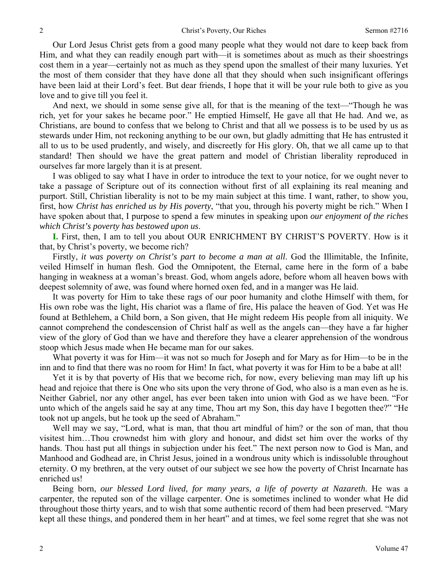Our Lord Jesus Christ gets from a good many people what they would not dare to keep back from Him, and what they can readily enough part with—it is sometimes about as much as their shoestrings cost them in a year—certainly not as much as they spend upon the smallest of their many luxuries. Yet the most of them consider that they have done all that they should when such insignificant offerings have been laid at their Lord's feet. But dear friends, I hope that it will be your rule both to give as you love and to give till you feel it.

 And next, we should in some sense give all, for that is the meaning of the text—"Though he was rich, yet for your sakes he became poor." He emptied Himself, He gave all that He had. And we, as Christians, are bound to confess that we belong to Christ and that all we possess is to be used by us as stewards under Him, not reckoning anything to be our own, but gladly admitting that He has entrusted it all to us to be used prudently, and wisely, and discreetly for His glory. Oh, that we all came up to that standard! Then should we have the great pattern and model of Christian liberality reproduced in ourselves far more largely than it is at present.

 I was obliged to say what I have in order to introduce the text to your notice, for we ought never to take a passage of Scripture out of its connection without first of all explaining its real meaning and purport. Still, Christian liberality is not to be my main subject at this time. I want, rather, to show you, first, how *Christ has enriched us by His poverty*, "that you, through his poverty might be rich." When I have spoken about that, I purpose to spend a few minutes in speaking upon *our enjoyment of the riches which Christ's poverty has bestowed upon us*.

**I.** First, then, I am to tell you about OUR ENRICHMENT BY CHRIST'S POVERTY. How is it that, by Christ's poverty, we become rich?

 Firstly, *it was poverty on Christ's part to become a man at all*. God the Illimitable, the Infinite, veiled Himself in human flesh. God the Omnipotent, the Eternal, came here in the form of a babe hanging in weakness at a woman's breast. God, whom angels adore, before whom all heaven bows with deepest solemnity of awe, was found where horned oxen fed, and in a manger was He laid.

 It was poverty for Him to take these rags of our poor humanity and clothe Himself with them, for His own robe was the light, His chariot was a flame of fire, His palace the heaven of God. Yet was He found at Bethlehem, a Child born, a Son given, that He might redeem His people from all iniquity. We cannot comprehend the condescension of Christ half as well as the angels can—they have a far higher view of the glory of God than we have and therefore they have a clearer apprehension of the wondrous stoop which Jesus made when He became man for our sakes.

 What poverty it was for Him—it was not so much for Joseph and for Mary as for Him—to be in the inn and to find that there was no room for Him! In fact, what poverty it was for Him to be a babe at all!

 Yet it is by that poverty of His that we become rich, for now, every believing man may lift up his head and rejoice that there is One who sits upon the very throne of God, who also is a man even as he is. Neither Gabriel, nor any other angel, has ever been taken into union with God as we have been. "For unto which of the angels said he say at any time, Thou art my Son, this day have I begotten thee?" "He took not up angels, but he took up the seed of Abraham."

 Well may we say, "Lord, what is man, that thou art mindful of him? or the son of man, that thou visitest him…Thou crownedst him with glory and honour, and didst set him over the works of thy hands. Thou hast put all things in subjection under his feet." The next person now to God is Man, and Manhood and Godhead are, in Christ Jesus, joined in a wondrous unity which is indissoluble throughout eternity. O my brethren, at the very outset of our subject we see how the poverty of Christ Incarnate has enriched us!

 Being born, *our blessed Lord lived, for many years, a life of poverty at Nazareth*. He was a carpenter, the reputed son of the village carpenter. One is sometimes inclined to wonder what He did throughout those thirty years, and to wish that some authentic record of them had been preserved. "Mary kept all these things, and pondered them in her heart" and at times, we feel some regret that she was not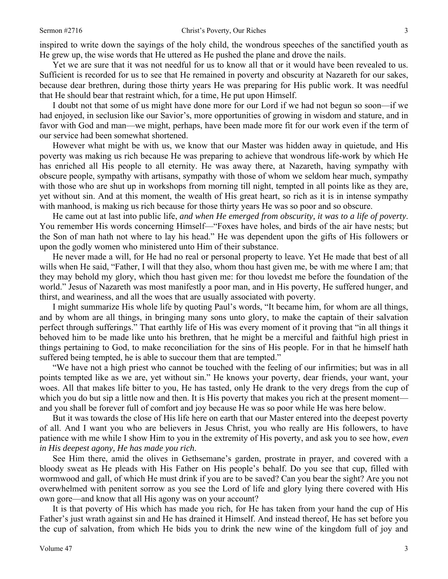inspired to write down the sayings of the holy child, the wondrous speeches of the sanctified youth as He grew up, the wise words that He uttered as He pushed the plane and drove the nails.

 Yet we are sure that it was not needful for us to know all that or it would have been revealed to us. Sufficient is recorded for us to see that He remained in poverty and obscurity at Nazareth for our sakes, because dear brethren, during those thirty years He was preparing for His public work. It was needful that He should bear that restraint which, for a time, He put upon Himself.

 I doubt not that some of us might have done more for our Lord if we had not begun so soon—if we had enjoyed, in seclusion like our Savior's, more opportunities of growing in wisdom and stature, and in favor with God and man—we might, perhaps, have been made more fit for our work even if the term of our service had been somewhat shortened.

 However what might be with us, we know that our Master was hidden away in quietude, and His poverty was making us rich because He was preparing to achieve that wondrous life-work by which He has enriched all His people to all eternity. He was away there, at Nazareth, having sympathy with obscure people, sympathy with artisans, sympathy with those of whom we seldom hear much, sympathy with those who are shut up in workshops from morning till night, tempted in all points like as they are, yet without sin. And at this moment, the wealth of His great heart, so rich as it is in intense sympathy with manhood, is making us rich because for those thirty years He was so poor and so obscure.

 He came out at last into public life, *and when He emerged from obscurity, it was to a life of poverty*. You remember His words concerning Himself—"Foxes have holes, and birds of the air have nests; but the Son of man hath not where to lay his head." He was dependent upon the gifts of His followers or upon the godly women who ministered unto Him of their substance.

 He never made a will, for He had no real or personal property to leave. Yet He made that best of all wills when He said, "Father, I will that they also, whom thou hast given me, be with me where I am; that they may behold my glory, which thou hast given me: for thou lovedst me before the foundation of the world." Jesus of Nazareth was most manifestly a poor man, and in His poverty, He suffered hunger, and thirst, and weariness, and all the woes that are usually associated with poverty.

 I might summarize His whole life by quoting Paul's words, "It became him, for whom are all things, and by whom are all things, in bringing many sons unto glory, to make the captain of their salvation perfect through sufferings." That earthly life of His was every moment of it proving that "in all things it behoved him to be made like unto his brethren, that he might be a merciful and faithful high priest in things pertaining to God, to make reconciliation for the sins of His people. For in that he himself hath suffered being tempted, he is able to succour them that are tempted."

 "We have not a high priest who cannot be touched with the feeling of our infirmities; but was in all points tempted like as we are, yet without sin." He knows your poverty, dear friends, your want, your woes. All that makes life bitter to you, He has tasted, only He drank to the very dregs from the cup of which you do but sip a little now and then. It is His poverty that makes you rich at the present moment and you shall be forever full of comfort and joy because He was so poor while He was here below.

 But it was towards the close of His life here on earth that our Master entered into the deepest poverty of all. And I want you who are believers in Jesus Christ, you who really are His followers, to have patience with me while I show Him to you in the extremity of His poverty, and ask you to see how, *even in His deepest agony, He has made you rich*.

 See Him there, amid the olives in Gethsemane's garden, prostrate in prayer, and covered with a bloody sweat as He pleads with His Father on His people's behalf. Do you see that cup, filled with wormwood and gall, of which He must drink if you are to be saved? Can you bear the sight? Are you not overwhelmed with penitent sorrow as you see the Lord of life and glory lying there covered with His own gore—and know that all His agony was on your account?

 It is that poverty of His which has made you rich, for He has taken from your hand the cup of His Father's just wrath against sin and He has drained it Himself. And instead thereof, He has set before you the cup of salvation, from which He bids you to drink the new wine of the kingdom full of joy and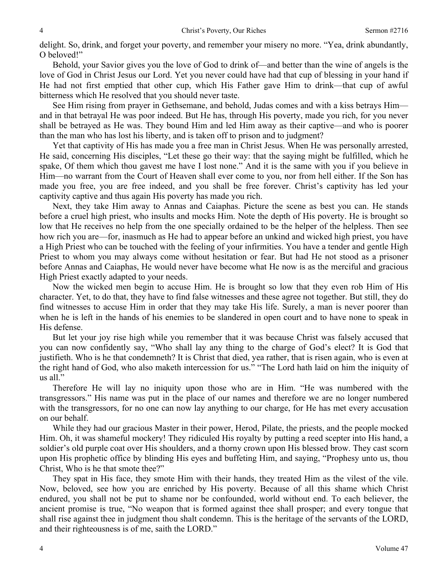delight. So, drink, and forget your poverty, and remember your misery no more. "Yea, drink abundantly, O beloved!"

 Behold, your Savior gives you the love of God to drink of—and better than the wine of angels is the love of God in Christ Jesus our Lord. Yet you never could have had that cup of blessing in your hand if He had not first emptied that other cup, which His Father gave Him to drink—that cup of awful bitterness which He resolved that you should never taste.

 See Him rising from prayer in Gethsemane, and behold, Judas comes and with a kiss betrays Him and in that betrayal He was poor indeed. But He has, through His poverty, made you rich, for you never shall be betrayed as He was. They bound Him and led Him away as their captive—and who is poorer than the man who has lost his liberty, and is taken off to prison and to judgment?

 Yet that captivity of His has made you a free man in Christ Jesus. When He was personally arrested, He said, concerning His disciples, "Let these go their way: that the saying might be fulfilled, which he spake, Of them which thou gavest me have I lost none." And it is the same with you if you believe in Him—no warrant from the Court of Heaven shall ever come to you, nor from hell either. If the Son has made you free, you are free indeed, and you shall be free forever. Christ's captivity has led your captivity captive and thus again His poverty has made you rich.

 Next, they take Him away to Annas and Caiaphas. Picture the scene as best you can. He stands before a cruel high priest, who insults and mocks Him. Note the depth of His poverty. He is brought so low that He receives no help from the one specially ordained to be the helper of the helpless. Then see how rich you are—for, inasmuch as He had to appear before an unkind and wicked high priest, you have a High Priest who can be touched with the feeling of your infirmities. You have a tender and gentle High Priest to whom you may always come without hesitation or fear. But had He not stood as a prisoner before Annas and Caiaphas, He would never have become what He now is as the merciful and gracious High Priest exactly adapted to your needs.

 Now the wicked men begin to accuse Him. He is brought so low that they even rob Him of His character. Yet, to do that, they have to find false witnesses and these agree not together. But still, they do find witnesses to accuse Him in order that they may take His life. Surely, a man is never poorer than when he is left in the hands of his enemies to be slandered in open court and to have none to speak in His defense.

 But let your joy rise high while you remember that it was because Christ was falsely accused that you can now confidently say, "Who shall lay any thing to the charge of God's elect? It is God that justifieth. Who is he that condemneth? It is Christ that died, yea rather, that is risen again, who is even at the right hand of God, who also maketh intercession for us." "The Lord hath laid on him the iniquity of us all."

 Therefore He will lay no iniquity upon those who are in Him. "He was numbered with the transgressors." His name was put in the place of our names and therefore we are no longer numbered with the transgressors, for no one can now lay anything to our charge, for He has met every accusation on our behalf.

 While they had our gracious Master in their power, Herod, Pilate, the priests, and the people mocked Him. Oh, it was shameful mockery! They ridiculed His royalty by putting a reed scepter into His hand, a soldier's old purple coat over His shoulders, and a thorny crown upon His blessed brow. They cast scorn upon His prophetic office by blinding His eyes and buffeting Him, and saying, "Prophesy unto us, thou Christ, Who is he that smote thee?"

 They spat in His face, they smote Him with their hands, they treated Him as the vilest of the vile. Now, beloved, see how you are enriched by His poverty. Because of all this shame which Christ endured, you shall not be put to shame nor be confounded, world without end. To each believer, the ancient promise is true, "No weapon that is formed against thee shall prosper; and every tongue that shall rise against thee in judgment thou shalt condemn. This is the heritage of the servants of the LORD, and their righteousness is of me, saith the LORD."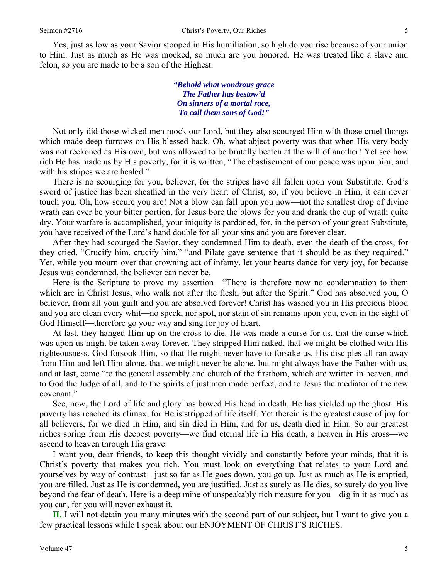Yes, just as low as your Savior stooped in His humiliation, so high do you rise because of your union to Him. Just as much as He was mocked, so much are you honored. He was treated like a slave and felon, so you are made to be a son of the Highest.

> *"Behold what wondrous grace The Father has bestow'd On sinners of a mortal race, To call them sons of God!"*

Not only did those wicked men mock our Lord, but they also scourged Him with those cruel thongs which made deep furrows on His blessed back. Oh, what abject poverty was that when His very body was not reckoned as His own, but was allowed to be brutally beaten at the will of another! Yet see how rich He has made us by His poverty, for it is written, "The chastisement of our peace was upon him; and with his stripes we are healed."

 There is no scourging for you, believer, for the stripes have all fallen upon your Substitute. God's sword of justice has been sheathed in the very heart of Christ, so, if you believe in Him, it can never touch you. Oh, how secure you are! Not a blow can fall upon you now—not the smallest drop of divine wrath can ever be your bitter portion, for Jesus bore the blows for you and drank the cup of wrath quite dry. Your warfare is accomplished, your iniquity is pardoned, for, in the person of your great Substitute, you have received of the Lord's hand double for all your sins and you are forever clear.

 After they had scourged the Savior, they condemned Him to death, even the death of the cross, for they cried, "Crucify him, crucify him," "and Pilate gave sentence that it should be as they required." Yet, while you mourn over that crowning act of infamy, let your hearts dance for very joy, for because Jesus was condemned, the believer can never be.

 Here is the Scripture to prove my assertion—"There is therefore now no condemnation to them which are in Christ Jesus, who walk not after the flesh, but after the Spirit." God has absolved you, O believer, from all your guilt and you are absolved forever! Christ has washed you in His precious blood and you are clean every whit—no speck, nor spot, nor stain of sin remains upon you, even in the sight of God Himself—therefore go your way and sing for joy of heart.

 At last, they hanged Him up on the cross to die. He was made a curse for us, that the curse which was upon us might be taken away forever. They stripped Him naked, that we might be clothed with His righteousness. God forsook Him, so that He might never have to forsake us. His disciples all ran away from Him and left Him alone, that we might never be alone, but might always have the Father with us, and at last, come "to the general assembly and church of the firstborn, which are written in heaven, and to God the Judge of all, and to the spirits of just men made perfect, and to Jesus the mediator of the new covenant."

 See, now, the Lord of life and glory has bowed His head in death, He has yielded up the ghost. His poverty has reached its climax, for He is stripped of life itself. Yet therein is the greatest cause of joy for all believers, for we died in Him, and sin died in Him, and for us, death died in Him. So our greatest riches spring from His deepest poverty—we find eternal life in His death, a heaven in His cross—we ascend to heaven through His grave.

 I want you, dear friends, to keep this thought vividly and constantly before your minds, that it is Christ's poverty that makes you rich. You must look on everything that relates to your Lord and yourselves by way of contrast—just so far as He goes down, you go up. Just as much as He is emptied, you are filled. Just as He is condemned, you are justified. Just as surely as He dies, so surely do you live beyond the fear of death. Here is a deep mine of unspeakably rich treasure for you—dig in it as much as you can, for you will never exhaust it.

**II.** I will not detain you many minutes with the second part of our subject, but I want to give you a few practical lessons while I speak about our ENJOYMENT OF CHRIST'S RICHES.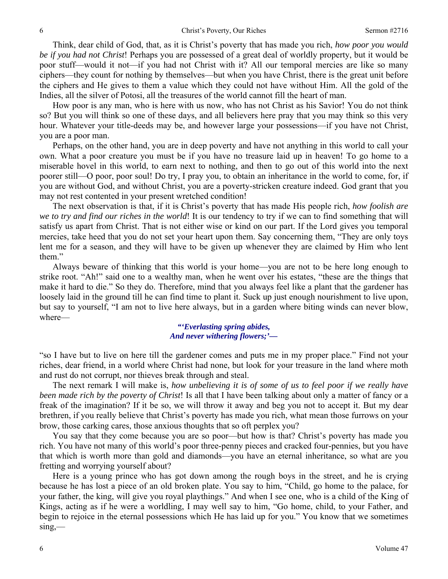Think, dear child of God, that, as it is Christ's poverty that has made you rich, *how poor you would be if you had not Christ*! Perhaps you are possessed of a great deal of worldly property, but it would be poor stuff—would it not—if you had not Christ with it? All our temporal mercies are like so many ciphers—they count for nothing by themselves—but when you have Christ, there is the great unit before the ciphers and He gives to them a value which they could not have without Him. All the gold of the Indies, all the silver of Potosi, all the treasures of the world cannot fill the heart of man.

 How poor is any man, who is here with us now, who has not Christ as his Savior! You do not think so? But you will think so one of these days, and all believers here pray that you may think so this very hour. Whatever your title-deeds may be, and however large your possessions—if you have not Christ, you are a poor man.

 Perhaps, on the other hand, you are in deep poverty and have not anything in this world to call your own. What a poor creature you must be if you have no treasure laid up in heaven! To go home to a miserable hovel in this world, to earn next to nothing, and then to go out of this world into the next poorer still—O poor, poor soul! Do try, I pray you, to obtain an inheritance in the world to come, for, if you are without God, and without Christ, you are a poverty-stricken creature indeed. God grant that you may not rest contented in your present wretched condition!

 The next observation is that, if it is Christ's poverty that has made His people rich, *how foolish are we to try and find our riches in the world*! It is our tendency to try if we can to find something that will satisfy us apart from Christ. That is not either wise or kind on our part. If the Lord gives you temporal mercies, take heed that you do not set your heart upon them. Say concerning them, "They are only toys lent me for a season, and they will have to be given up whenever they are claimed by Him who lent them."

 Always beware of thinking that this world is your home—you are not to be here long enough to strike root. "Ah!" said one to a wealthy man, when he went over his estates, "these are the things that make it hard to die." So they do. Therefore, mind that you always feel like a plant that the gardener has loosely laid in the ground till he can find time to plant it. Suck up just enough nourishment to live upon, but say to yourself, "I am not to live here always, but in a garden where biting winds can never blow, where—

# *"'Everlasting spring abides, And never withering flowers;'—*

"so I have but to live on here till the gardener comes and puts me in my proper place." Find not your riches, dear friend, in a world where Christ had none, but look for your treasure in the land where moth and rust do not corrupt, nor thieves break through and steal.

 The next remark I will make is, *how unbelieving it is of some of us to feel poor if we really have been made rich by the poverty of Christ*! Is all that I have been talking about only a matter of fancy or a freak of the imagination? If it be so, we will throw it away and beg you not to accept it. But my dear brethren, if you really believe that Christ's poverty has made you rich, what mean those furrows on your brow, those carking cares, those anxious thoughts that so oft perplex you?

 You say that they come because you are so poor—but how is that? Christ's poverty has made you rich. You have not many of this world's poor three-penny pieces and cracked four-pennies, but you have that which is worth more than gold and diamonds—you have an eternal inheritance, so what are you fretting and worrying yourself about?

 Here is a young prince who has got down among the rough boys in the street, and he is crying because he has lost a piece of an old broken plate. You say to him, "Child, go home to the palace, for your father, the king, will give you royal playthings." And when I see one, who is a child of the King of Kings, acting as if he were a worldling, I may well say to him, "Go home, child, to your Father, and begin to rejoice in the eternal possessions which He has laid up for you." You know that we sometimes  $sing$ —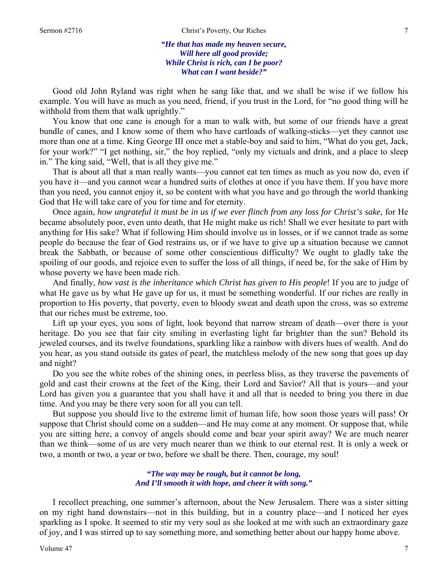*"He that has made my heaven secure, Will here all good provide; While Christ is rich, can I be poor? What can I want beside?"* 

 Good old John Ryland was right when he sang like that, and we shall be wise if we follow his example. You will have as much as you need, friend, if you trust in the Lord, for "no good thing will he withhold from them that walk uprightly."

 You know that one cane is enough for a man to walk with, but some of our friends have a great bundle of canes, and I know some of them who have cartloads of walking-sticks—yet they cannot use more than one at a time. King George III once met a stable-boy and said to him, "What do you get, Jack, for your work?" "I get nothing, sir," the boy replied, "only my victuals and drink, and a place to sleep in." The king said, "Well, that is all they give me."

 That is about all that a man really wants—you cannot eat ten times as much as you now do, even if you have it—and you cannot wear a hundred suits of clothes at once if you have them. If you have more than you need, you cannot enjoy it, so be content with what you have and go through the world thanking God that He will take care of you for time and for eternity.

 Once again, *how ungrateful it must be in us if we ever flinch from any loss for Christ's sake*, for He became absolutely poor, even unto death, that He might make us rich! Shall we ever hesitate to part with anything for His sake? What if following Him should involve us in losses, or if we cannot trade as some people do because the fear of God restrains us, or if we have to give up a situation because we cannot break the Sabbath, or because of some other conscientious difficulty? We ought to gladly take the spoiling of our goods, and rejoice even to suffer the loss of all things, if need be, for the sake of Him by whose poverty we have been made rich.

 And finally, *how vast is the inheritance which Christ has given to His people*! If you are to judge of what He gave us by what He gave up for us, it must be something wonderful. If our riches are really in proportion to His poverty, that poverty, even to bloody sweat and death upon the cross, was so extreme that our riches must be extreme, too.

 Lift up your eyes, you sons of light, look beyond that narrow stream of death—over there is your heritage. Do you see that fair city smiling in everlasting light far brighter than the sun? Behold its jeweled courses, and its twelve foundations, sparkling like a rainbow with divers hues of wealth. And do you hear, as you stand outside its gates of pearl, the matchless melody of the new song that goes up day and night?

 Do you see the white robes of the shining ones, in peerless bliss, as they traverse the pavements of gold and cast their crowns at the feet of the King, their Lord and Savior? All that is yours—and your Lord has given you a guarantee that you shall have it and all that is needed to bring you there in due time. And you may be there very soon for all you can tell.

 But suppose you should live to the extreme limit of human life, how soon those years will pass! Or suppose that Christ should come on a sudden—and He may come at any moment. Or suppose that, while you are sitting here, a convoy of angels should come and bear your spirit away? We are much nearer than we think—some of us are very much nearer than we think to our eternal rest. It is only a week or two, a month or two, a year or two, before we shall be there. Then, courage, my soul!

### *"The way may be rough, but it cannot be long, And I'll smooth it with hope, and cheer it with song."*

I recollect preaching, one summer's afternoon, about the New Jerusalem. There was a sister sitting on my right hand downstairs—not in this building, but in a country place—and I noticed her eyes sparkling as I spoke. It seemed to stir my very soul as she looked at me with such an extraordinary gaze of joy, and I was stirred up to say something more, and something better about our happy home above.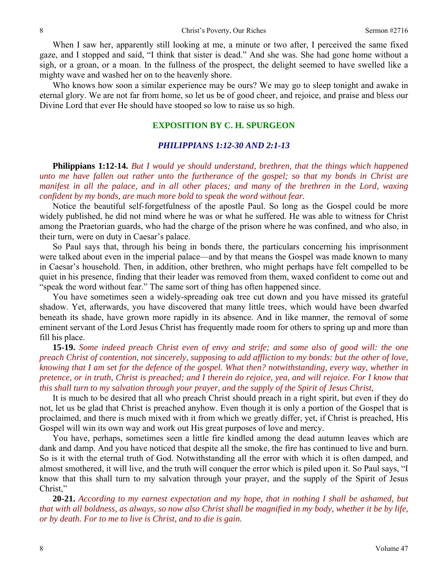When I saw her, apparently still looking at me, a minute or two after, I perceived the same fixed gaze, and I stopped and said, "I think that sister is dead." And she was. She had gone home without a sigh, or a groan, or a moan. In the fullness of the prospect, the delight seemed to have swelled like a mighty wave and washed her on to the heavenly shore.

 Who knows how soon a similar experience may be ours? We may go to sleep tonight and awake in eternal glory. We are not far from home, so let us be of good cheer, and rejoice, and praise and bless our Divine Lord that ever He should have stooped so low to raise us so high.

### **EXPOSITION BY C. H. SPURGEON**

#### *PHILIPPIANS 1:12-30 AND 2:1-13*

**Philippians 1:12-14.** *But I would ye should understand, brethren, that the things which happened unto me have fallen out rather unto the furtherance of the gospel; so that my bonds in Christ are manifest in all the palace, and in all other places; and many of the brethren in the Lord, waxing confident by my bonds, are much more bold to speak the word without fear.* 

Notice the beautiful self-forgetfulness of the apostle Paul. So long as the Gospel could be more widely published, he did not mind where he was or what he suffered. He was able to witness for Christ among the Praetorian guards, who had the charge of the prison where he was confined, and who also, in their turn, were on duty in Caesar's palace.

 So Paul says that, through his being in bonds there, the particulars concerning his imprisonment were talked about even in the imperial palace—and by that means the Gospel was made known to many in Caesar's household. Then, in addition, other brethren, who might perhaps have felt compelled to be quiet in his presence, finding that their leader was removed from them, waxed confident to come out and "speak the word without fear." The same sort of thing has often happened since.

 You have sometimes seen a widely-spreading oak tree cut down and you have missed its grateful shadow. Yet, afterwards, you have discovered that many little trees, which would have been dwarfed beneath its shade, have grown more rapidly in its absence. And in like manner, the removal of some eminent servant of the Lord Jesus Christ has frequently made room for others to spring up and more than fill his place.

**15-19.** *Some indeed preach Christ even of envy and strife; and some also of good will: the one preach Christ of contention, not sincerely, supposing to add affliction to my bonds: but the other of love, knowing that I am set for the defence of the gospel. What then? notwithstanding, every way, whether in pretence, or in truth, Christ is preached; and I therein do rejoice, yea, and will rejoice. For I know that this shall turn to my salvation through your prayer, and the supply of the Spirit of Jesus Christ,* 

It is much to be desired that all who preach Christ should preach in a right spirit, but even if they do not, let us be glad that Christ is preached anyhow. Even though it is only a portion of the Gospel that is proclaimed, and there is much mixed with it from which we greatly differ, yet, if Christ is preached, His Gospel will win its own way and work out His great purposes of love and mercy.

 You have, perhaps, sometimes seen a little fire kindled among the dead autumn leaves which are dank and damp. And you have noticed that despite all the smoke, the fire has continued to live and burn. So is it with the eternal truth of God. Notwithstanding all the error with which it is often damped, and almost smothered, it will live, and the truth will conquer the error which is piled upon it. So Paul says, "I know that this shall turn to my salvation through your prayer, and the supply of the Spirit of Jesus Christ,"

 **20-21.** *According to my earnest expectation and my hope, that in nothing I shall be ashamed, but that with all boldness, as always, so now also Christ shall be magnified in my body, whether it be by life, or by death. For to me to live is Christ, and to die is gain.*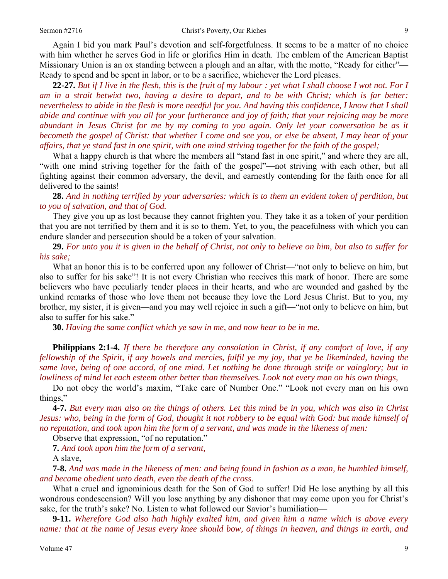Again I bid you mark Paul's devotion and self-forgetfulness. It seems to be a matter of no choice with him whether he serves God in life or glorifies Him in death. The emblem of the American Baptist Missionary Union is an ox standing between a plough and an altar, with the motto, "Ready for either"— Ready to spend and be spent in labor, or to be a sacrifice, whichever the Lord pleases.

**22-27.** *But if I live in the flesh, this is the fruit of my labour : yet what I shall choose I wot not. For I am in a strait betwixt two, having a desire to depart, and to be with Christ; which is far better: nevertheless to abide in the flesh is more needful for you. And having this confidence, I know that I shall abide and continue with you all for your furtherance and joy of faith; that your rejoicing may be more abundant in Jesus Christ for me by my coming to you again. Only let your conversation be as it becometh the gospel of Christ: that whether I come and see you, or else be absent, I may hear of your affairs, that ye stand fast in one spirit, with one mind striving together for the faith of the gospel;* 

What a happy church is that where the members all "stand fast in one spirit," and where they are all, "with one mind striving together for the faith of the gospel"—not striving with each other, but all fighting against their common adversary, the devil, and earnestly contending for the faith once for all delivered to the saints!

**28.** *And in nothing terrified by your adversaries: which is to them an evident token of perdition, but to you of salvation, and that of God.* 

They give you up as lost because they cannot frighten you. They take it as a token of your perdition that you are not terrified by them and it is so to them. Yet, to you, the peacefulness with which you can endure slander and persecution should be a token of your salvation.

**29.** *For unto you it is given in the behalf of Christ, not only to believe on him, but also to suffer for his sake;* 

What an honor this is to be conferred upon any follower of Christ—"not only to believe on him, but also to suffer for his sake"! It is not every Christian who receives this mark of honor. There are some believers who have peculiarly tender places in their hearts, and who are wounded and gashed by the unkind remarks of those who love them not because they love the Lord Jesus Christ. But to you, my brother, my sister, it is given—and you may well rejoice in such a gift—"not only to believe on him, but also to suffer for his sake."

**30.** *Having the same conflict which ye saw in me, and now hear to be in me.* 

**Philippians 2:1-4.** *If there be therefore any consolation in Christ, if any comfort of love, if any fellowship of the Spirit, if any bowels and mercies, fulfil ye my joy, that ye be likeminded, having the same love, being of one accord, of one mind. Let nothing be done through strife or vainglory; but in lowliness of mind let each esteem other better than themselves. Look not every man on his own things,* 

Do not obey the world's maxim, "Take care of Number One." "Look not every man on his own things,"

**4-7.** *But every man also on the things of others. Let this mind be in you, which was also in Christ Jesus: who, being in the form of God, thought it not robbery to be equal with God: but made himself of no reputation, and took upon him the form of a servant, and was made in the likeness of men:* 

Observe that expression, "of no reputation."

**7.** *And took upon him the form of a servant,* 

A slave,

**7-8.** *And was made in the likeness of men: and being found in fashion as a man, he humbled himself, and became obedient unto death, even the death of the cross.* 

What a cruel and ignominious death for the Son of God to suffer! Did He lose anything by all this wondrous condescension? Will you lose anything by any dishonor that may come upon you for Christ's sake, for the truth's sake? No. Listen to what followed our Savior's humiliation—

**9-11.** *Wherefore God also hath highly exalted him, and given him a name which is above every name: that at the name of Jesus every knee should bow, of things in heaven, and things in earth, and*